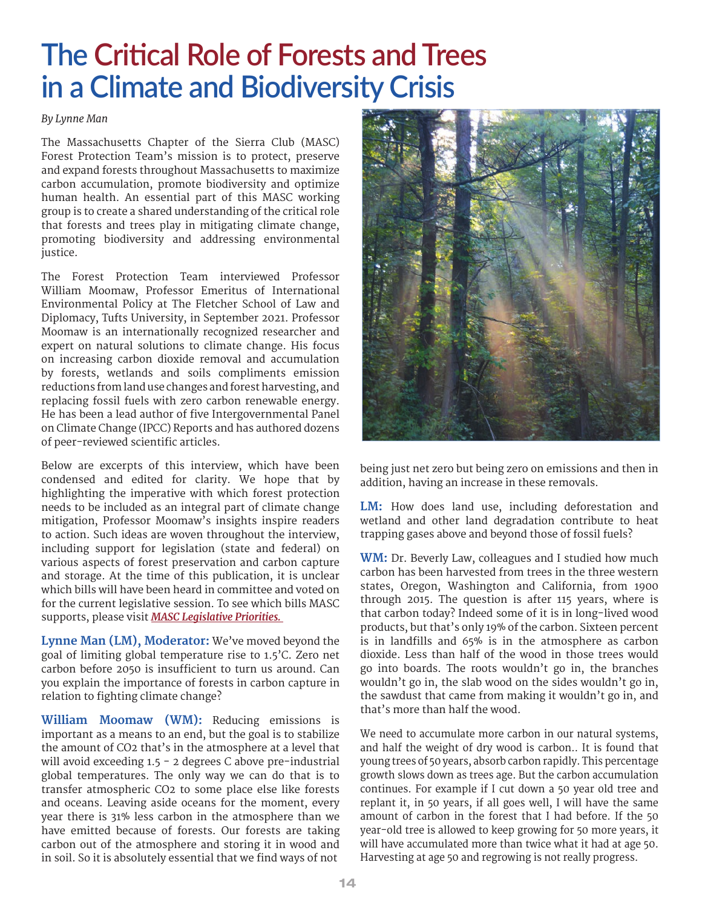## **The Critical Role of Forests and Trees** *Climate and Biodiversity Crisis*

## *By Lynne Man*

The Massachusetts Chapter of the Sierra Club (MASC) Forest Protection Team's mission is to protect, preserve and expand forests throughout Massachusetts to maximize carbon accumulation, promote biodiversity and optimize human health. An essential part of this MASC working group is to create a shared understanding of the critical role that forests and trees play in mitigating climate change, promoting biodiversity and addressing environmental  $\overline{\text{i}}$ ustice.

The Forest Protection Team interviewed Professor William Moomaw, Professor Emeritus of International Environmental Policy at The Fletcher School of Law and Diplomacy, Tufts University, in September 2021. Professor Moomaw is an internationally recognized researcher and expert on natural solutions to climate change. His focus on increasing carbon dioxide removal and accumulation by forests, wetlands and soils compliments emission reductions from land use changes and forest harvesting, and replacing fossil fuels with zero carbon renewable energy. He has been a lead author of five Intergovernmental Panel on Climate Change (IPCC) Reports and has authored dozens of peer-reviewed scientific articles.

Below are excerpts of this interview, which have been condensed and edited for clarity. We hope that by highlighting the imperative with which forest protection needs to be included as an integral part of climate change mitigation, Professor Moomaw's insights inspire readers to action. Such ideas are woven throughout the interview, including support for legislation (state and federal) on various aspects of forest preservation and carbon capture and storage. At the time of this publication, it is unclear which bills will have been heard in committee and voted on for the current legislative session. To see which bills MASC supports, please visit *[MASC Legislative Priorities.](https://www.sierraclub.org/massachusetts/2021-2022-legislative-priorities)* 

**Lynne Man (LM), Moderator:** We've moved beyond the goal of limiting global temperature rise to 1.5'C. Zero net carbon before 2050 is insufficient to turn us around. Can you explain the importance of forests in carbon capture in relation to fighting climate change?

**William Moomaw (WM):** Reducing emissions is important as a means to an end, but the goal is to stabilize the amount of CO2 that's in the atmosphere at a level that will avoid exceeding  $1.5 - 2$  degrees C above pre-industrial global temperatures. The only way we can do that is to transfer atmospheric CO2 to some place else like forests and oceans. Leaving aside oceans for the moment, every year there is 31% less carbon in the atmosphere than we have emitted because of forests. Our forests are taking carbon out of the atmosphere and storing it in wood and in soil. So it is absolutely essential that we find ways of not



being just net zero but being zero on emissions and then in addition, having an increase in these removals.

**LM:** How does land use, including deforestation and wetland and other land degradation contribute to heat trapping gases above and beyond those of fossil fuels?

**WM:** Dr. Beverly Law, colleagues and I studied how much carbon has been harvested from trees in the three western states, Oregon, Washington and California, from 1900 through 2015. The question is after 115 years, where is that carbon today? Indeed some of it is in long-lived wood products, but that's only 19% of the carbon. Sixteen percent is in landfills and  $65\%$  is in the atmosphere as carbon dioxide. Less than half of the wood in those trees would go into boards. The roots wouldn't go in, the branches wouldn't go in, the slab wood on the sides wouldn't go in, the sawdust that came from making it wouldn't go in, and that's more than half the wood.

We need to accumulate more carbon in our natural systems, and half the weight of dry wood is carbon.. It is found that young trees of 50 years, absorb carbon rapidly. This percentage growth slows down as trees age. But the carbon accumulation continues. For example if I cut down a 50 year old tree and replant it, in 50 years, if all goes well, I will have the same amount of carbon in the forest that I had before. If the 50 year-old tree is allowed to keep growing for 50 more years, it will have accumulated more than twice what it had at age 50. Harvesting at age 50 and regrowing is not really progress.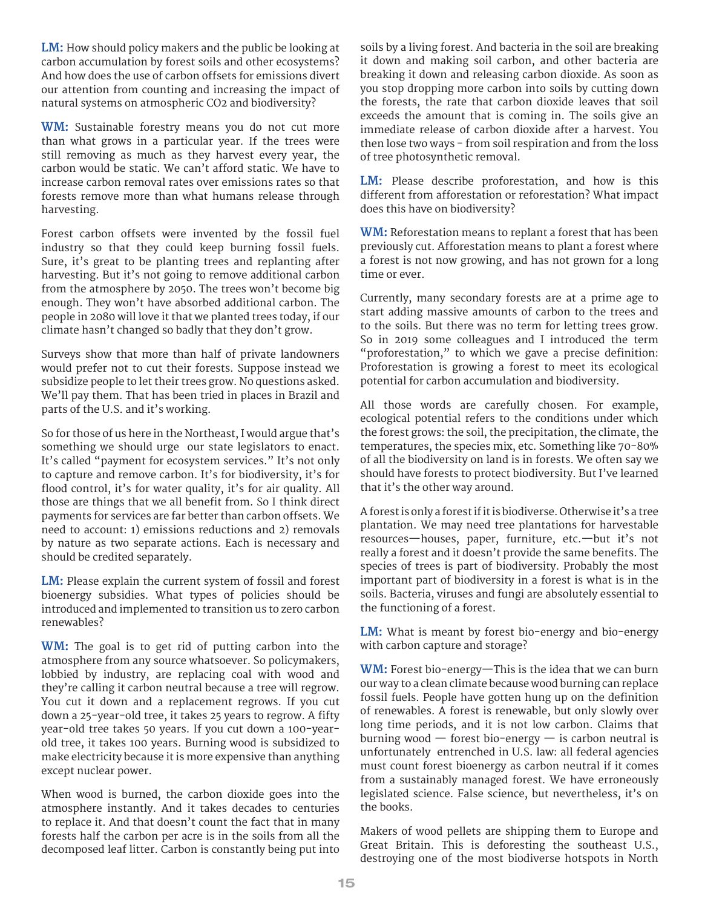**LM:** How should policy makers and the public be looking at carbon accumulation by forest soils and other ecosystems? And how does the use of carbon offsets for emissions divert our attention from counting and increasing the impact of natural systems on atmospheric CO2 and biodiversity?

**WM:** Sustainable forestry means you do not cut more than what grows in a particular year. If the trees were still removing as much as they harvest every year, the carbon would be static. We can't afford static. We have to increase carbon removal rates over emissions rates so that forests remove more than what humans release through harvesting.

Forest carbon offsets were invented by the fossil fuel industry so that they could keep burning fossil fuels. Sure, it's great to be planting trees and replanting after harvesting. But it's not going to remove additional carbon from the atmosphere by 2050. The trees won't become big enough. They won't have absorbed additional carbon. The people in 2080 will love it that we planted trees today, if our climate hasn't changed so badly that they don't grow.

Surveys show that more than half of private landowners would prefer not to cut their forests. Suppose instead we subsidize people to let their trees grow. No questions asked. We'll pay them. That has been tried in places in Brazil and parts of the U.S. and it's working.

So for those of us here in the Northeast, I would argue that's something we should urge our state legislators to enact. It's called "payment for ecosystem services." It's not only to capture and remove carbon. It's for biodiversity, it's for flood control, it's for water quality, it's for air quality. All those are things that we all benefit from. So I think direct payments for services are far better than carbon offsets. We need to account: 1) emissions reductions and 2) removals by nature as two separate actions. Each is necessary and should be credited separately.

**LM:** Please explain the current system of fossil and forest bioenergy subsidies. What types of policies should be introduced and implemented to transition us to zero carbon renewables?

**WM:** The goal is to get rid of putting carbon into the atmosphere from any source whatsoever. So policymakers, lobbied by industry, are replacing coal with wood and they're calling it carbon neutral because a tree will regrow. You cut it down and a replacement regrows. If you cut down a 25-year-old tree, it takes 25 years to regrow. A fifty vear-old tree takes 50 years. If you cut down a 100-yearold tree, it takes 100 years. Burning wood is subsidized to make electricity because it is more expensive than anything except nuclear power.

When wood is burned, the carbon dioxide goes into the atmosphere instantly. And it takes decades to centuries to replace it. And that doesn't count the fact that in many forests half the carbon per acre is in the soils from all the decomposed leaf litter. Carbon is constantly being put into

soils by a living forest. And bacteria in the soil are breaking it down and making soil carbon, and other bacteria are breaking it down and releasing carbon dioxide. As soon as you stop dropping more carbon into soils by cutting down the forests, the rate that carbon dioxide leaves that soil exceeds the amount that is coming in. The soils give an immediate release of carbon dioxide after a harvest. You then lose two ways - from soil respiration and from the loss of tree photosynthetic removal.

**LM:** Please describe proforestation, and how is this different from afforestation or reforestation? What impact does this have on biodiversity?

**WM:** Reforestation means to replant a forest that has been previously cut. Afforestation means to plant a forest where a forest is not now growing, and has not grown for a long time or ever.

Currently, many secondary forests are at a prime age to start adding massive amounts of carbon to the trees and to the soils. But there was no term for letting trees grow. So in 2019 some colleagues and I introduced the term "proforestation," to which we gave a precise definition: Proforestation is growing a forest to meet its ecological potential for carbon accumulation and biodiversity.

All those words are carefully chosen. For example, ecological potential refers to the conditions under which the forest grows: the soil, the precipitation, the climate, the temperatures, the species mix, etc. Something like 70-80% of all the biodiversity on land is in forests. We often say we should have forests to protect biodiversity. But I've learned that it's the other way around.

A forest is only a forest if it is biodiverse. Otherwise it's a tree plantation. We may need tree plantations for harvestable resources—houses, paper, furniture, etc.—but it's not really a forest and it doesn't provide the same benefits. The species of trees is part of biodiversity. Probably the most important part of biodiversity in a forest is what is in the soils. Bacteria, viruses and fungi are absolutely essential to the functioning of a forest.

**LM:** What is meant by forest bio-energy and bio-energy with carbon capture and storage?

**WM:** Forest bio-energy—This is the idea that we can burn our way to a clean climate because wood burning can replace fossil fuels. People have gotten hung up on the definition of renewables. A forest is renewable, but only slowly over long time periods, and it is not low carbon. Claims that burning wood  $-$  forest bio-energy  $-$  is carbon neutral is unfortunately entrenched in U.S. law: all federal agencies must count forest bioenergy as carbon neutral if it comes from a sustainably managed forest. We have erroneously legislated science. False science, but nevertheless, it's on the books.

Makers of wood pellets are shipping them to Europe and Great Britain. This is deforesting the southeast U.S., destroying one of the most biodiverse hotspots in North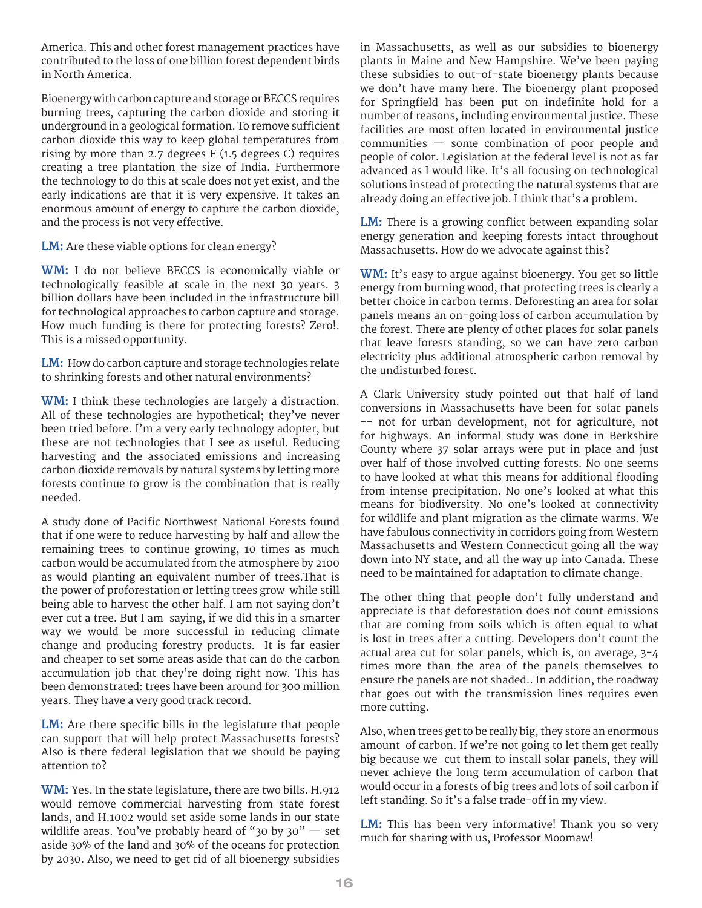America. This and other forest management practices have contributed to the loss of one billion forest dependent birds in North America.

Bioenergy with carbon capture and storage or BECCS requires burning trees, capturing the carbon dioxide and storing it underground in a geological formation. To remove sufficient carbon dioxide this way to keep global temperatures from rising by more than 2.7 degrees  $F(1.5$  degrees C) requires creating a tree plantation the size of India. Furthermore the technology to do this at scale does not yet exist, and the early indications are that it is very expensive. It takes an enormous amount of energy to capture the carbon dioxide, and the process is not very effective.

**LM:** Are these viable options for clean energy?

**WM:** I do not believe BECCS is economically viable or technologically feasible at scale in the next 30 years. 3 billion dollars have been included in the infrastructure bill for technological approaches to carbon capture and storage. How much funding is there for protecting forests? Zero!. This is a missed opportunity.

**LM:** How do carbon capture and storage technologies relate to shrinking forests and other natural environments?

**WM:** I think these technologies are largely a distraction. All of these technologies are hypothetical; they've never been tried before. I'm a very early technology adopter, but these are not technologies that I see as useful. Reducing harvesting and the associated emissions and increasing carbon dioxide removals by natural systems by letting more forests continue to grow is the combination that is really needed.

A study done of Pacific Northwest National Forests found that if one were to reduce harvesting by half and allow the remaining trees to continue growing, 10 times as much carbon would be accumulated from the atmosphere by 2100 as would planting an equivalent number of trees. That is the power of proforestation or letting trees grow while still being able to harvest the other half. I am not saying don't ever cut a tree. But I am saying, if we did this in a smarter way we would be more successful in reducing climate change and producing forestry products. It is far easier and cheaper to set some areas aside that can do the carbon accumulation job that they're doing right now. This has been demonstrated: trees have been around for 300 million years. They have a very good track record.

**LM:** Are there specific bills in the legislature that people can support that will help protect Massachusetts forests? Also is there federal legislation that we should be paying attention to?

**WM:** Yes. In the state legislature, there are two bills. H.912 would remove commercial harvesting from state forest lands, and H.1002 would set aside some lands in our state wildlife areas. You've probably heard of "30 by 30"  $-$  set aside 30% of the land and 30% of the oceans for protection by 2030. Also, we need to get rid of all bioenergy subsidies in Massachusetts, as well as our subsidies to bioenergy plants in Maine and New Hampshire. We've been paying these subsidies to out-of-state bioenergy plants because we don't have many here. The bioenergy plant proposed for Springfield has been put on indefinite hold for a number of reasons, including environmental justice. These facilities are most often located in environmental justice communities — some combination of poor people and people of color. Legislation at the federal level is not as far advanced as I would like. It's all focusing on technological solutions instead of protecting the natural systems that are already doing an effective job. I think that's a problem.

**LM:** There is a growing conflict between expanding solar energy generation and keeping forests intact throughout Massachusetts. How do we advocate against this?

**WM:** It's easy to argue against bioenergy. You get so little energy from burning wood, that protecting trees is clearly a better choice in carbon terms. Deforesting an area for solar panels means an on-going loss of carbon accumulation by the forest. There are plenty of other places for solar panels that leave forests standing, so we can have zero carbon electricity plus additional atmospheric carbon removal by the undisturbed forest.

A Clark University study pointed out that half of land conversions in Massachusetts have been for solar panels -- not for urban development, not for agriculture, not for highways. An informal study was done in Berkshire County where 37 solar arrays were put in place and just over half of those involved cutting forests. No one seems to have looked at what this means for additional flooding from intense precipitation. No one's looked at what this means for biodiversity. No one's looked at connectivity for wildlife and plant migration as the climate warms. We have fabulous connectivity in corridors going from Western Massachusetts and Western Connecticut going all the way down into NY state, and all the way up into Canada. These need to be maintained for adaptation to climate change.

The other thing that people don't fully understand and appreciate is that deforestation does not count emissions that are coming from soils which is often equal to what is lost in trees after a cutting. Developers don't count the actual area cut for solar panels, which is, on average, 3-4 times more than the area of the panels themselves to ensure the panels are not shaded.. In addition, the roadway that goes out with the transmission lines requires even more cutting.

Also, when trees get to be really big, they store an enormous amount of carbon. If we're not going to let them get really big because we cut them to install solar panels, they will never achieve the long term accumulation of carbon that would occur in a forests of big trees and lots of soil carbon if left standing. So it's a false trade-off in my view.

**LM:** This has been very informative! Thank you so very much for sharing with us, Professor Moomaw!